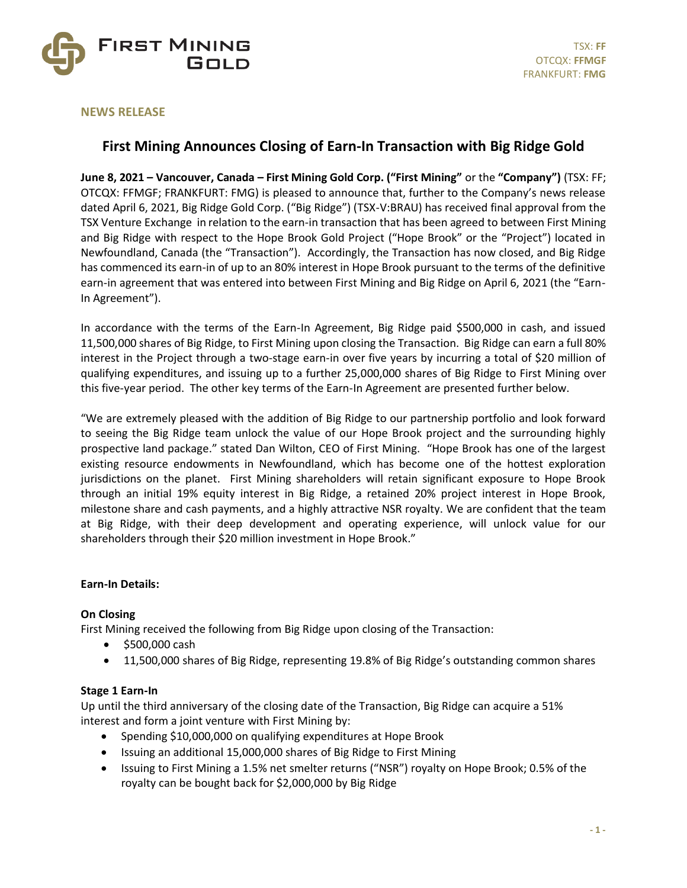

## **NEWS RELEASE**

# **First Mining Announces Closing of Earn-In Transaction with Big Ridge Gold**

**June 8, 2021 – Vancouver, Canada – First Mining Gold Corp. ("First Mining"** or the **"Company")** (TSX: FF; OTCQX: FFMGF; FRANKFURT: FMG) is pleased to announce that, further to the Company's news release dated April 6, 2021, Big Ridge Gold Corp. ("Big Ridge") (TSX-V:BRAU) has received final approval from the TSX Venture Exchange in relation to the earn-in transaction that has been agreed to between First Mining and Big Ridge with respect to the Hope Brook Gold Project ("Hope Brook" or the "Project") located in Newfoundland, Canada (the "Transaction"). Accordingly, the Transaction has now closed, and Big Ridge has commenced its earn-in of up to an 80% interest in Hope Brook pursuant to the terms of the definitive earn-in agreement that was entered into between First Mining and Big Ridge on April 6, 2021 (the "Earn-In Agreement").

In accordance with the terms of the Earn-In Agreement, Big Ridge paid \$500,000 in cash, and issued 11,500,000 shares of Big Ridge, to First Mining upon closing the Transaction. Big Ridge can earn a full 80% interest in the Project through a two-stage earn-in over five years by incurring a total of \$20 million of qualifying expenditures, and issuing up to a further 25,000,000 shares of Big Ridge to First Mining over this five-year period. The other key terms of the Earn-In Agreement are presented further below.

"We are extremely pleased with the addition of Big Ridge to our partnership portfolio and look forward to seeing the Big Ridge team unlock the value of our Hope Brook project and the surrounding highly prospective land package." stated Dan Wilton, CEO of First Mining. "Hope Brook has one of the largest existing resource endowments in Newfoundland, which has become one of the hottest exploration jurisdictions on the planet. First Mining shareholders will retain significant exposure to Hope Brook through an initial 19% equity interest in Big Ridge, a retained 20% project interest in Hope Brook, milestone share and cash payments, and a highly attractive NSR royalty. We are confident that the team at Big Ridge, with their deep development and operating experience, will unlock value for our shareholders through their \$20 million investment in Hope Brook."

#### **Earn-In Details:**

## **On Closing**

First Mining received the following from Big Ridge upon closing of the Transaction:

- \$500,000 cash
- 11,500,000 shares of Big Ridge, representing 19.8% of Big Ridge's outstanding common shares

## **Stage 1 Earn-In**

Up until the third anniversary of the closing date of the Transaction, Big Ridge can acquire a 51% interest and form a joint venture with First Mining by:

- Spending \$10,000,000 on qualifying expenditures at Hope Brook
- Issuing an additional 15,000,000 shares of Big Ridge to First Mining
- Issuing to First Mining a 1.5% net smelter returns ("NSR") royalty on Hope Brook; 0.5% of the royalty can be bought back for \$2,000,000 by Big Ridge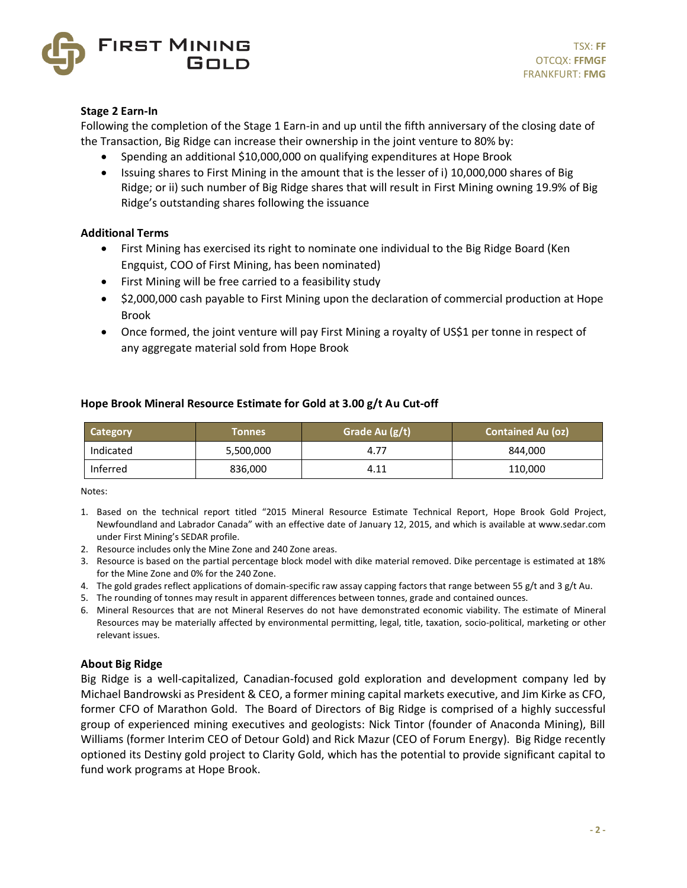

## **Stage 2 Earn-In**

Following the completion of the Stage 1 Earn-in and up until the fifth anniversary of the closing date of the Transaction, Big Ridge can increase their ownership in the joint venture to 80% by:

- Spending an additional \$10,000,000 on qualifying expenditures at Hope Brook
- Issuing shares to First Mining in the amount that is the lesser of i) 10,000,000 shares of Big Ridge; or ii) such number of Big Ridge shares that will result in First Mining owning 19.9% of Big Ridge's outstanding shares following the issuance

## **Additional Terms**

- First Mining has exercised its right to nominate one individual to the Big Ridge Board (Ken Engquist, COO of First Mining, has been nominated)
- First Mining will be free carried to a feasibility study
- \$2,000,000 cash payable to First Mining upon the declaration of commercial production at Hope Brook
- Once formed, the joint venture will pay First Mining a royalty of US\$1 per tonne in respect of any aggregate material sold from Hope Brook

## **Hope Brook Mineral Resource Estimate for Gold at 3.00 g/t Au Cut-off**

| Category  | Tonnes    | Grade Au (g/t) | <b>Contained Au (oz)</b> |
|-----------|-----------|----------------|--------------------------|
| Indicated | 5,500,000 | 4.77           | 844,000                  |
| Inferred  | 836,000   | 4.11           | 110,000                  |

Notes:

- 1. Based on the technical report titled "2015 Mineral Resource Estimate Technical Report, Hope Brook Gold Project, Newfoundland and Labrador Canada" with an effective date of January 12, 2015, and which is available at www.sedar.com under First Mining's SEDAR profile.
- 2. Resource includes only the Mine Zone and 240 Zone areas.
- 3. Resource is based on the partial percentage block model with dike material removed. Dike percentage is estimated at 18% for the Mine Zone and 0% for the 240 Zone.
- 4. The gold grades reflect applications of domain-specific raw assay capping factors that range between 55 g/t and 3 g/t Au.
- 5. The rounding of tonnes may result in apparent differences between tonnes, grade and contained ounces.
- 6. Mineral Resources that are not Mineral Reserves do not have demonstrated economic viability. The estimate of Mineral Resources may be materially affected by environmental permitting, legal, title, taxation, socio-political, marketing or other relevant issues.

#### **About Big Ridge**

Big Ridge is a well-capitalized, Canadian-focused gold exploration and development company led by Michael Bandrowski as President & CEO, a former mining capital markets executive, and Jim Kirke as CFO, former CFO of Marathon Gold. The Board of Directors of Big Ridge is comprised of a highly successful group of experienced mining executives and geologists: Nick Tintor (founder of Anaconda Mining), Bill Williams (former Interim CEO of Detour Gold) and Rick Mazur (CEO of Forum Energy). Big Ridge recently optioned its Destiny gold project to Clarity Gold, which has the potential to provide significant capital to fund work programs at Hope Brook.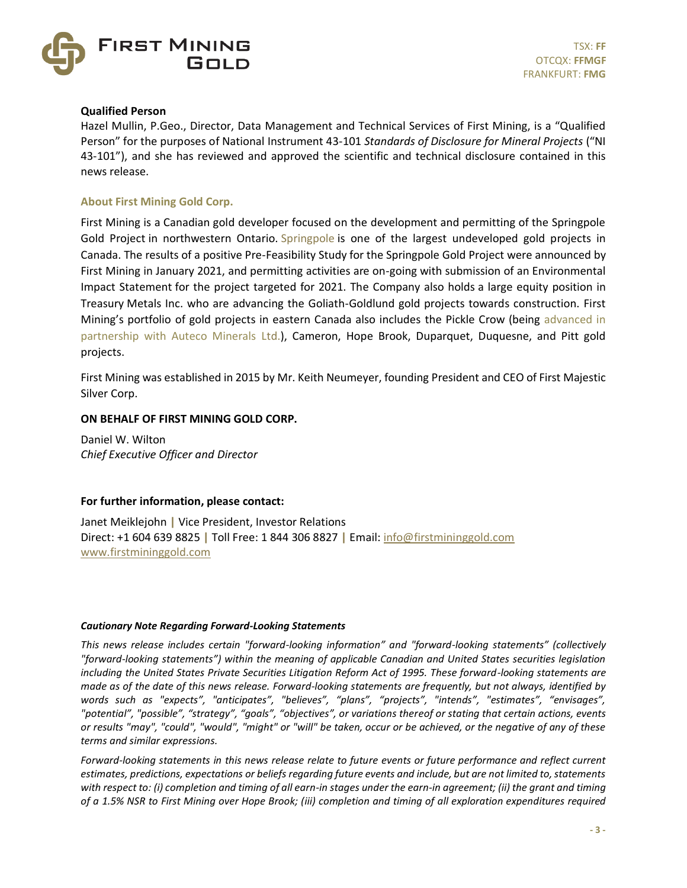

### **Qualified Person**

Hazel Mullin, P.Geo., Director, Data Management and Technical Services of First Mining, is a "Qualified Person" for the purposes of National Instrument 43-101 *Standards of Disclosure for Mineral Projects* ("NI 43-101"), and she has reviewed and approved the scientific and technical disclosure contained in this news release.

## **About First Mining Gold Corp.**

First Mining is a Canadian gold developer focused on the development and permitting of the Springpole Gold Project in northwestern Ontario. [Springpole](https://www.firstmininggold.com/projects/ontario/springpole-project/) is one of the largest undeveloped gold projects in Canada. The results of a positive Pre-Feasibility Study for the Springpole Gold Project were announced by First Mining in January 2021, and permitting activities are on-going with submission of an Environmental Impact Statement for the project targeted for 2021. The Company also holds a large equity position in Treasury Metals Inc. who are advancing the Goliath-Goldlund gold projects towards construction. First Mining's portfolio of gold projects in eastern Canada also includes the Pickle Crow (being [advanced in](https://can01.safelinks.protection.outlook.com/?url=https%3A%2F%2Fwww.firstmininggold.com%2Fnews%2Freleases%2Ffirst-mining-partners-with-auteco-to-advance-its-pickle-crow-gold-project&data=02%7C01%7Cspiros%40firstmininggold.com%7Cfd619baf467243ac240108d84fc21453%7C3564d7a87e774cf9aee2f8fb0795b85e%7C0%7C0%7C637347042261240296&sdata=4T7jmXs5w440KrLTkegXHGGoD8HxJ%2FZRX9qzlYW91Ks%3D&reserved=0)  [partnership with Auteco Minerals](https://can01.safelinks.protection.outlook.com/?url=https%3A%2F%2Fwww.firstmininggold.com%2Fnews%2Freleases%2Ffirst-mining-partners-with-auteco-to-advance-its-pickle-crow-gold-project&data=02%7C01%7Cspiros%40firstmininggold.com%7Cfd619baf467243ac240108d84fc21453%7C3564d7a87e774cf9aee2f8fb0795b85e%7C0%7C0%7C637347042261240296&sdata=4T7jmXs5w440KrLTkegXHGGoD8HxJ%2FZRX9qzlYW91Ks%3D&reserved=0) Ltd.), Cameron, Hope Brook, Duparquet, Duquesne, and Pitt gold projects.

First Mining was established in 2015 by Mr. Keith Neumeyer, founding President and CEO of First Majestic Silver Corp.

## **ON BEHALF OF FIRST MINING GOLD CORP.**

Daniel W. Wilton *Chief Executive Officer and Director*

#### **For further information, please contact:**

Janet Meiklejohn **|** Vice President, Investor Relations Direct: +1 604 639 8825 **|** Toll Free: 1 844 306 8827 **|** Email[: info@firstmininggold.com](mailto:info@firstmininggold.com)  [www.firstmininggold.com](http://www.firstmininggold.com/)

#### *Cautionary Note Regarding Forward-Looking Statements*

*This news release includes certain "forward-looking information" and "forward-looking statements" (collectively "forward-looking statements") within the meaning of applicable Canadian and United States securities legislation including the United States Private Securities Litigation Reform Act of 1995. These forward-looking statements are made as of the date of this news release. Forward-looking statements are frequently, but not always, identified by words such as "expects", "anticipates", "believes", "plans", "projects", "intends", "estimates", "envisages", "potential", "possible", "strategy", "goals", "objectives", or variations thereof or stating that certain actions, events or results "may", "could", "would", "might" or "will" be taken, occur or be achieved, or the negative of any of these terms and similar expressions.*

*Forward-looking statements in this news release relate to future events or future performance and reflect current estimates, predictions, expectations or beliefs regarding future events and include, but are not limited to, statements with respect to: (i) completion and timing of all earn-in stages under the earn-in agreement; (ii) the grant and timing of a 1.5% NSR to First Mining over Hope Brook; (iii) completion and timing of all exploration expenditures required*